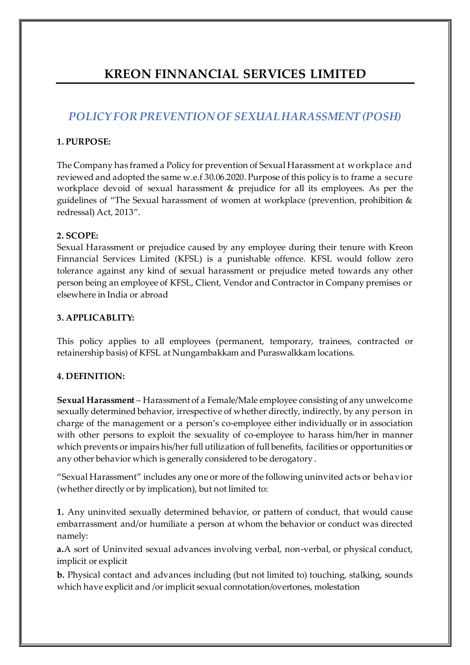# **KREON FINNANCIAL SERVICES LIMITED**

# *POLICY FOR PREVENTION OF SEXUAL HARASSMENT (POSH)*

# **1. PURPOSE:**

The Company has framed a Policy for prevention of Sexual Harassment at workplace and reviewed and adopted the same w.e.f 30.06.2020. Purpose of this policy is to frame a secure workplace devoid of sexual harassment & prejudice for all its employees. As per the guidelines of "The Sexual harassment of women at workplace (prevention, prohibition & redressal) Act, 2013".

# **2. SCOPE:**

Sexual Harassment or prejudice caused by any employee during their tenure with Kreon Finnancial Services Limited (KFSL) is a punishable offence. KFSL would follow zero tolerance against any kind of sexual harassment or prejudice meted towards any other person being an employee of KFSL, Client, Vendor and Contractor in Company premises or elsewhere in India or abroad

# **3. APPLICABLITY:**

This policy applies to all employees (permanent, temporary, trainees, contracted or retainership basis) of KFSL at Nungambakkam and Puraswalkkam locations.

# **4. DEFINITION:**

**Sexual Harassment** – Harassment of a Female/Male employee consisting of any unwelcome sexually determined behavior, irrespective of whether directly, indirectly, by any person in charge of the management or a person's co-employee either individually or in association with other persons to exploit the sexuality of co-employee to harass him/her in manner which prevents or impairs his/her full utilization of full benefits, facilities or opportunities or any other behavior which is generally considered to be derogatory .

"Sexual Harassment" includes any one or more of the following uninvited acts or behavior (whether directly or by implication), but not limited to:

**1.** Any uninvited sexually determined behavior, or pattern of conduct, that would cause embarrassment and/or humiliate a person at whom the behavior or conduct was directed namely:

**a.**A sort of Uninvited sexual advances involving verbal, non-verbal, or physical conduct, implicit or explicit

**b.** Physical contact and advances including (but not limited to) touching, stalking, sounds which have explicit and /or implicit sexual connotation/overtones, molestation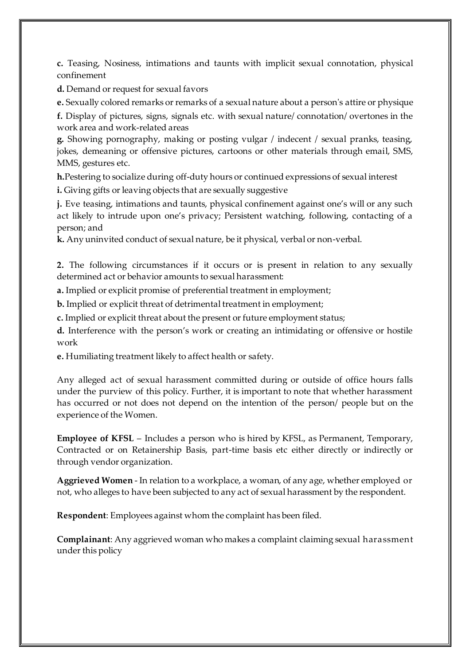**c.** Teasing, Nosiness, intimations and taunts with implicit sexual connotation, physical confinement

**d.** Demand or request for sexual favors

**e.** Sexually colored remarks or remarks of a sexual nature about a person's attire or physique

**f.** Display of pictures, signs, signals etc. with sexual nature/ connotation/ overtones in the work area and work-related areas

**g.** Showing pornography, making or posting vulgar / indecent / sexual pranks, teasing, jokes, demeaning or offensive pictures, cartoons or other materials through email, SMS, MMS, gestures etc.

**h.**Pestering to socialize during off-duty hours or continued expressions of sexual interest

**i.** Giving gifts or leaving objects that are sexually suggestive

**j.** Eve teasing, intimations and taunts, physical confinement against one's will or any such act likely to intrude upon one's privacy; Persistent watching, following, contacting of a person; and

**k.** Any uninvited conduct of sexual nature, be it physical, verbal or non-verbal.

**2.** The following circumstances if it occurs or is present in relation to any sexually determined act or behavior amounts to sexual harassment:

**a.** Implied or explicit promise of preferential treatment in employment;

**b.** Implied or explicit threat of detrimental treatment in employment;

**c.** Implied or explicit threat about the present or future employment status;

**d.** Interference with the person's work or creating an intimidating or offensive or hostile work

**e.** Humiliating treatment likely to affect health or safety.

Any alleged act of sexual harassment committed during or outside of office hours falls under the purview of this policy. Further, it is important to note that whether harassment has occurred or not does not depend on the intention of the person/ people but on the experience of the Women.

**Employee of KFSL** – Includes a person who is hired by KFSL, as Permanent, Temporary, Contracted or on Retainership Basis, part-time basis etc either directly or indirectly or through vendor organization.

**Aggrieved Women** - In relation to a workplace, a woman, of any age, whether employed or not, who alleges to have been subjected to any act of sexual harassment by the respondent.

**Respondent**: Employees against whom the complaint has been filed.

**Complainant**: Any aggrieved woman who makes a complaint claiming sexual harassment under this policy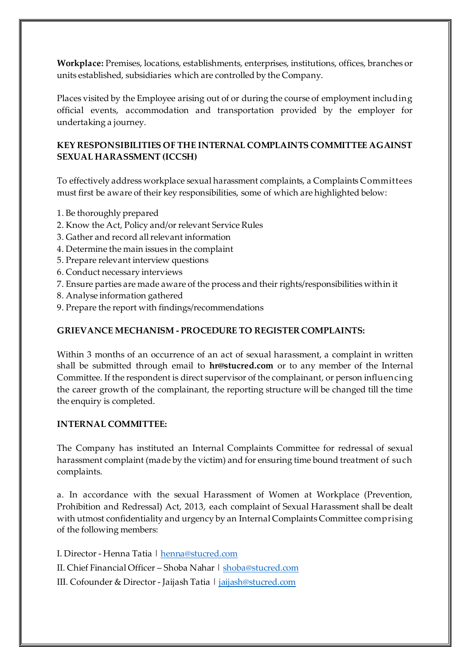**Workplace:** Premises, locations, establishments, enterprises, institutions, offices, branches or units established, subsidiaries which are controlled by the Company.

Places visited by the Employee arising out of or during the course of employment including official events, accommodation and transportation provided by the employer for undertaking a journey.

# **KEY RESPONSIBILITIES OF THE INTERNAL COMPLAINTS COMMITTEE AGAINST SEXUAL HARASSMENT (ICCSH)**

To effectively address workplace sexual harassment complaints, a Complaints Committees must first be aware of their key responsibilities, some of which are highlighted below:

- 1. Be thoroughly prepared
- 2. Know the Act, Policy and/or relevant Service Rules
- 3. Gather and record all relevant information
- 4. Determine the main issues in the complaint
- 5. Prepare relevant interview questions
- 6. Conduct necessary interviews
- 7. Ensure parties are made aware of the process and their rights/responsibilities within it
- 8. Analyse information gathered
- 9. Prepare the report with findings/recommendations

## **GRIEVANCE MECHANISM - PROCEDURE TO REGISTER COMPLAINTS:**

Within 3 months of an occurrence of an act of sexual harassment, a complaint in written shall be submitted through email to **hr@stucred.com** or to any member of the Internal Committee. If the respondent is direct supervisor of the complainant, or person influencing the career growth of the complainant, the reporting structure will be changed till the time the enquiry is completed.

#### **INTERNAL COMMITTEE:**

The Company has instituted an Internal Complaints Committee for redressal of sexual harassment complaint (made by the victim) and for ensuring time bound treatment of such complaints.

a. In accordance with the sexual Harassment of Women at Workplace (Prevention, Prohibition and Redressal) Act, 2013, each complaint of Sexual Harassment shall be dealt with utmost confidentiality and urgency by an Internal Complaints Committee comprising of the following members:

I. Director - Henna Tatia [| henna@stucred.com](mailto:henna@stucred.com) II. Chief Financial Officer – Shoba Nahar [| shoba@stucred.com](mailto:shoba@stucred.com) III. Cofounder & Director - Jaijash Tatia [| jaijash@stucred.com](mailto:jaijash@stucred.com)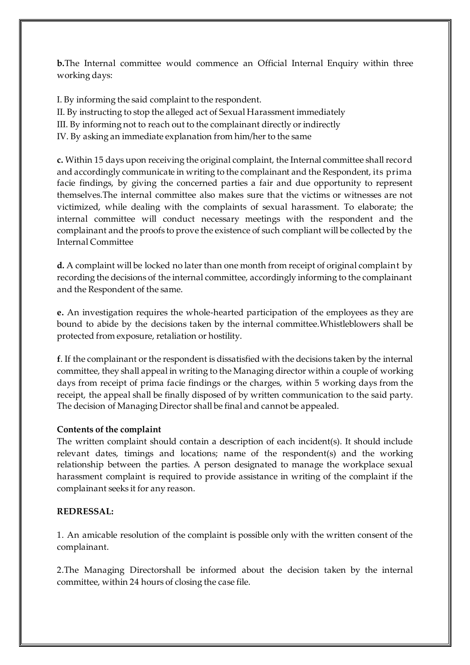**b.**The Internal committee would commence an Official Internal Enquiry within three working days:

I. By informing the said complaint to the respondent.

II. By instructing to stop the alleged act of Sexual Harassment immediately

III. By informing not to reach out to the complainant directly or indirectly

IV. By asking an immediate explanation from him/her to the same

**c.** Within 15 days upon receiving the original complaint, the Internal committee shall record and accordingly communicate in writing to the complainant and the Respondent, its prima facie findings, by giving the concerned parties a fair and due opportunity to represent themselves.The internal committee also makes sure that the victims or witnesses are not victimized, while dealing with the complaints of sexual harassment. To elaborate; the internal committee will conduct necessary meetings with the respondent and the complainant and the proofs to prove the existence of such compliant will be collected by the Internal Committee

**d.** A complaint will be locked no later than one month from receipt of original complaint by recording the decisions of the internal committee, accordingly informing to the complainant and the Respondent of the same.

**e.** An investigation requires the whole-hearted participation of the employees as they are bound to abide by the decisions taken by the internal committee.Whistleblowers shall be protected from exposure, retaliation or hostility.

**f**. If the complainant or the respondent is dissatisfied with the decisions taken by the internal committee, they shall appeal in writing to the Managing director within a couple of working days from receipt of prima facie findings or the charges, within 5 working days from the receipt, the appeal shall be finally disposed of by written communication to the said party. The decision of Managing Director shall be final and cannot be appealed.

# **Contents of the complaint**

The written complaint should contain a description of each incident(s). It should include relevant dates, timings and locations; name of the respondent(s) and the working relationship between the parties. A person designated to manage the workplace sexual harassment complaint is required to provide assistance in writing of the complaint if the complainant seeks it for any reason.

#### **REDRESSAL:**

1. An amicable resolution of the complaint is possible only with the written consent of the complainant.

2.The Managing Directorshall be informed about the decision taken by the internal committee, within 24 hours of closing the case file.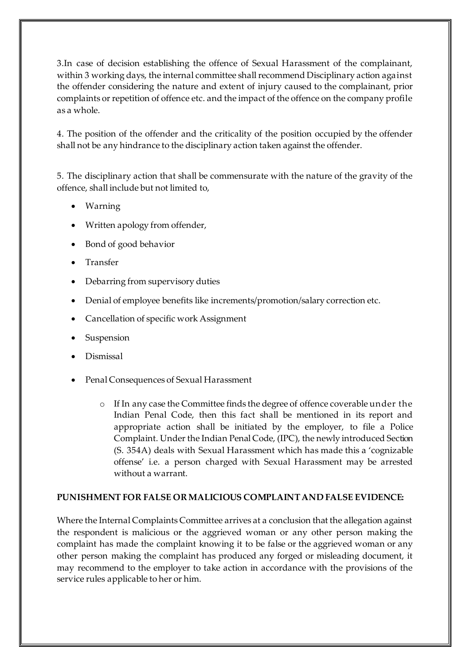3.In case of decision establishing the offence of Sexual Harassment of the complainant, within 3 working days, the internal committee shall recommend Disciplinary action against the offender considering the nature and extent of injury caused to the complainant, prior complaints or repetition of offence etc. and the impact of the offence on the company profile as a whole.

4. The position of the offender and the criticality of the position occupied by the offender shall not be any hindrance to the disciplinary action taken against the offender.

5. The disciplinary action that shall be commensurate with the nature of the gravity of the offence, shall include but not limited to,

- Warning
- Written apology from offender,
- Bond of good behavior
- Transfer
- Debarring from supervisory duties
- Denial of employee benefits like increments/promotion/salary correction etc.
- Cancellation of specific work Assignment
- **Suspension**
- Dismissal
- Penal Consequences of Sexual Harassment
	- o If In any case the Committee finds the degree of offence coverable under the Indian Penal Code, then this fact shall be mentioned in its report and appropriate action shall be initiated by the employer, to file a Police Complaint. Under the Indian Penal Code, (IPC), the newly introduced Section (S. 354A) deals with Sexual Harassment which has made this a 'cognizable offense' i.e. a person charged with Sexual Harassment may be arrested without a warrant.

# **PUNISHMENT FOR FALSE OR MALICIOUS COMPLAINT AND FALSE EVIDENCE:**

Where the Internal Complaints Committee arrives at a conclusion that the allegation against the respondent is malicious or the aggrieved woman or any other person making the complaint has made the complaint knowing it to be false or the aggrieved woman or any other person making the complaint has produced any forged or misleading document, it may recommend to the employer to take action in accordance with the provisions of the service rules applicable to her or him.